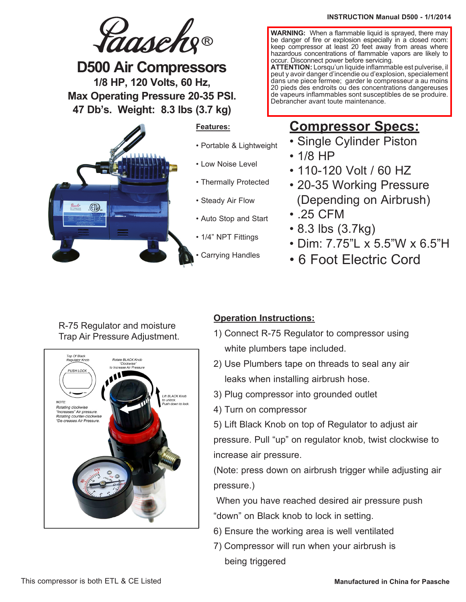# Jaasche

**D500 Air Compressors 1/8 HP, 120 Volts, 60 Hz, Max Operating Pressure 20-35 PSI. 47 Db's. Weight: 8.3 lbs (3.7 kg)**



## **Features:**

- Portable & Lightweight
- Low Noise Level
- Thermally Protected
- Steady Air Flow
- Auto Stop and Start
- 1/4" NPT Fittings
- Carrying Handles

### **INSTRUCTION Manual D500 - 1/1/2014**

**WARNING:** When a flammable liquid is sprayed, there may be danger of fire or explosion especially in a closed room: keep compressor at least 20 feet away from areas where hazardous concentrations of flammable vapors are likely to occur. Disconnect power before servicing.

**ATTENTION:** Lorsqu'un liquide inflammable est pulverise, il peut y avoir danger d'incendie ou d'explosion, specialement dans une piece fermee; garder le compresseur a au moins 20 pieds des endroits ou des concentrations dangereuses de vapeurs inflammables sont susceptibles de se produire. Debrancher avant toute maintenance.

## **Compressor Specs:**

- Single Cylinder Piston
- 1/8 HP
- 110-120 Volt / 60 HZ
- 20-35 Working Pressure (Depending on Airbrush)
- .25 CFM
- 8.3 lbs (3.7kg)
- Dim: 7.75"L x 5.5"W x 6.5"H
- 6 Foot Electric Cord

## R-75 Regulator and moisture Trap Air Pressure Adjustment.



## **Operation Instructions:**

- 1) Connect R-75 Regulator to compressor using white plumbers tape included.
- 2) Use Plumbers tape on threads to seal any air leaks when installing airbrush hose.
- 3) Plug compressor into grounded outlet
- 4) Turn on compressor

5) Lift Black Knob on top of Regulator to adjust air pressure. Pull "up" on regulator knob, twist clockwise to increase air pressure.

(Note: press down on airbrush trigger while adjusting air pressure.)

When you have reached desired air pressure push "down" on Black knob to lock in setting.

- 6) Ensure the working area is well ventilated
- 7) Compressor will run when your airbrush is being triggered